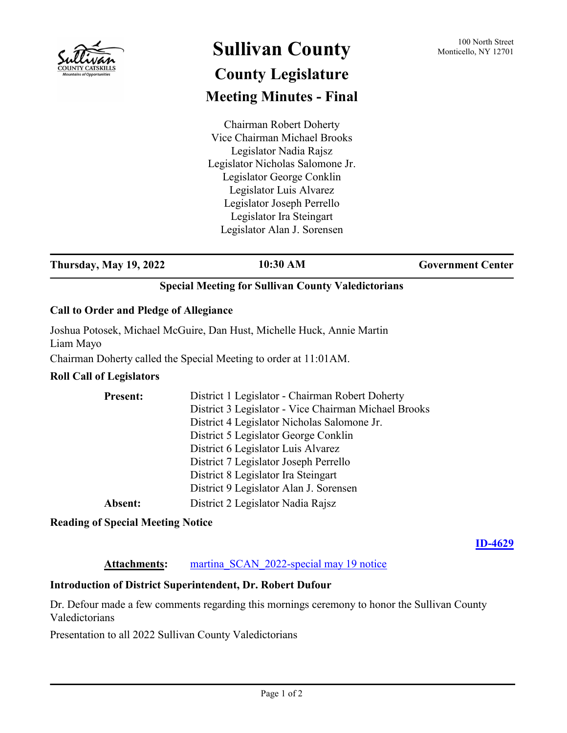

# **Sullivan County** 100 North Street 100 North Street **County Legislature Meeting Minutes - Final**

Chairman Robert Doherty Vice Chairman Michael Brooks Legislator Nadia Rajsz Legislator Nicholas Salomone Jr. Legislator George Conklin Legislator Luis Alvarez Legislator Joseph Perrello Legislator Ira Steingart Legislator Alan J. Sorensen

**Thursday, May 19, 2022 10:30 AM Government Center** 

## **Special Meeting for Sullivan County Valedictorians**

#### **Call to Order and Pledge of Allegiance**

Joshua Potosek, Michael McGuire, Dan Hust, Michelle Huck, Annie Martin Liam Mayo

Chairman Doherty called the Special Meeting to order at 11:01AM.

## **Roll Call of Legislators**

| <b>Present:</b> | District 1 Legislator - Chairman Robert Doherty      |
|-----------------|------------------------------------------------------|
|                 | District 3 Legislator - Vice Chairman Michael Brooks |
|                 | District 4 Legislator Nicholas Salomone Jr.          |
|                 | District 5 Legislator George Conklin                 |
|                 | District 6 Legislator Luis Alvarez                   |
|                 | District 7 Legislator Joseph Perrello                |
|                 | District 8 Legislator Ira Steingart                  |
|                 | District 9 Legislator Alan J. Sorensen               |
| Absent:         | District 2 Legislator Nadia Rajsz                    |

**Reading of Special Meeting Notice**

**[ID-4629](http://sullivancountyny.legistar.com/gateway.aspx?m=l&id=/matter.aspx?key=1655)**

#### Attachments: martina SCAN 2022-special may 19 notice

## **Introduction of District Superintendent, Dr. Robert Dufour**

Dr. Defour made a few comments regarding this mornings ceremony to honor the Sullivan County Valedictorians

Presentation to all 2022 Sullivan County Valedictorians